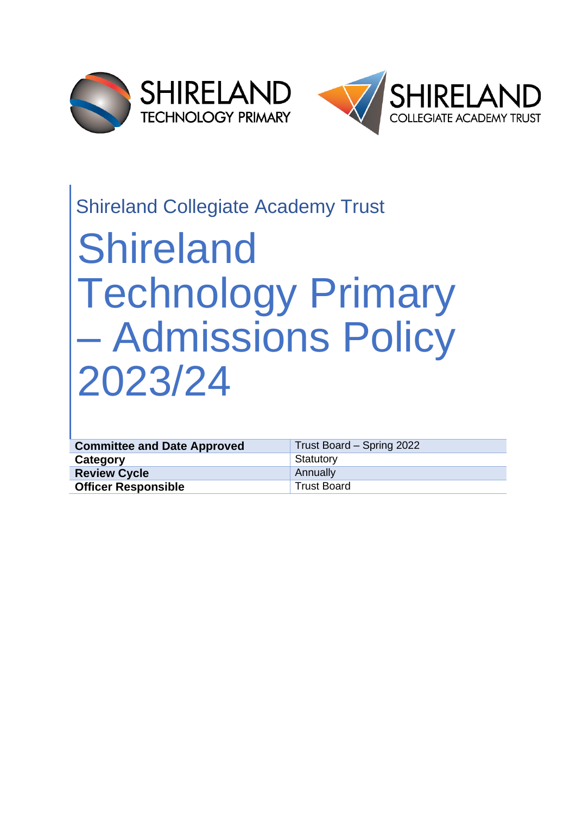



# Shireland Collegiate Academy Trust

# Shireland Technology Primary – Admissions Policy 2023/24

| <b>Committee and Date Approved</b> | Trust Board – Spring 2022 |
|------------------------------------|---------------------------|
| Category                           | Statutory                 |
| <b>Review Cycle</b>                | Annually                  |
| <b>Officer Responsible</b>         | <b>Trust Board</b>        |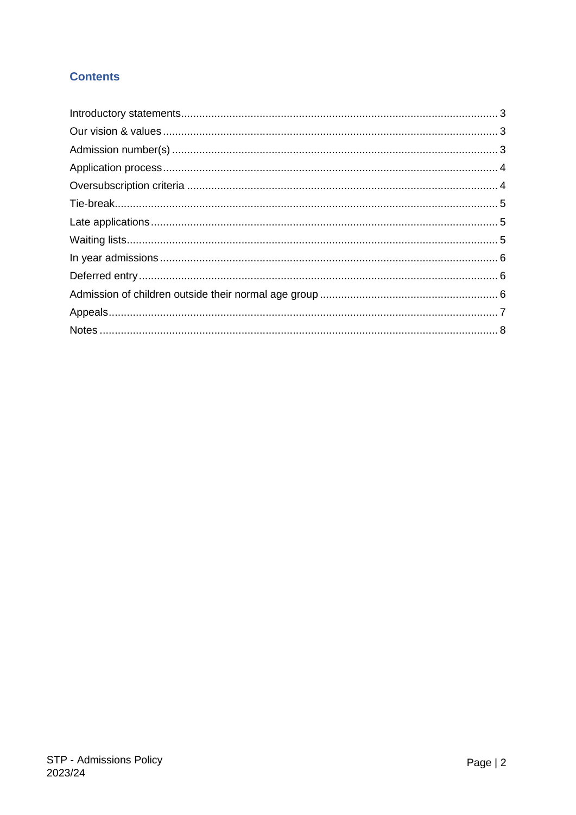# **Contents**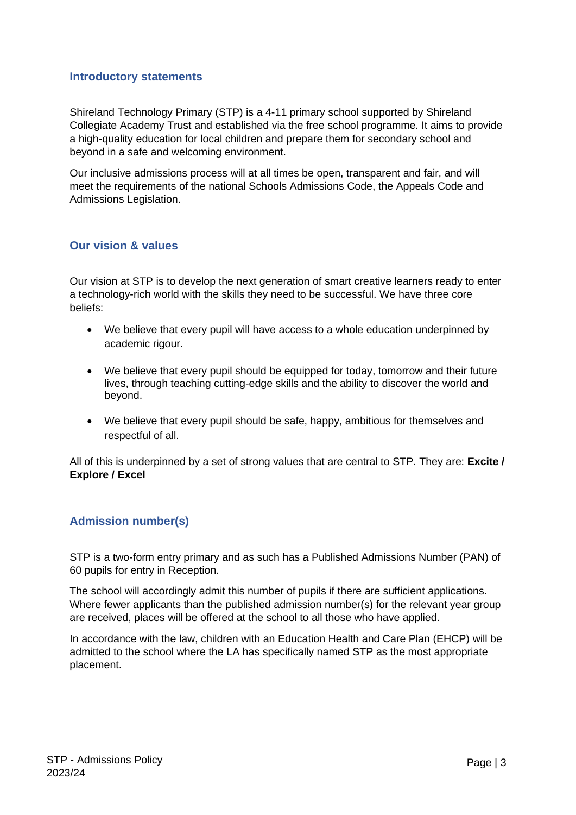#### <span id="page-2-0"></span>**Introductory statements**

Shireland Technology Primary (STP) is a 4-11 primary school supported by Shireland Collegiate Academy Trust and established via the free school programme. It aims to provide a high-quality education for local children and prepare them for secondary school and beyond in a safe and welcoming environment.

Our inclusive admissions process will at all times be open, transparent and fair, and will meet the requirements of the national Schools Admissions Code, the Appeals Code and Admissions Legislation.

#### <span id="page-2-1"></span>**Our vision & values**

Our vision at STP is to develop the next generation of smart creative learners ready to enter a technology-rich world with the skills they need to be successful. We have three core beliefs:

- We believe that every pupil will have access to a whole education underpinned by academic rigour.
- We believe that every pupil should be equipped for today, tomorrow and their future lives, through teaching cutting-edge skills and the ability to discover the world and beyond.
- We believe that every pupil should be safe, happy, ambitious for themselves and respectful of all.

All of this is underpinned by a set of strong values that are central to STP. They are: **Excite / Explore / Excel**

# <span id="page-2-2"></span>**Admission number(s)**

STP is a two-form entry primary and as such has a Published Admissions Number (PAN) of 60 pupils for entry in Reception.

The school will accordingly admit this number of pupils if there are sufficient applications. Where fewer applicants than the published admission number(s) for the relevant year group are received, places will be offered at the school to all those who have applied.

In accordance with the law, children with an Education Health and Care Plan (EHCP) will be admitted to the school where the LA has specifically named STP as the most appropriate placement.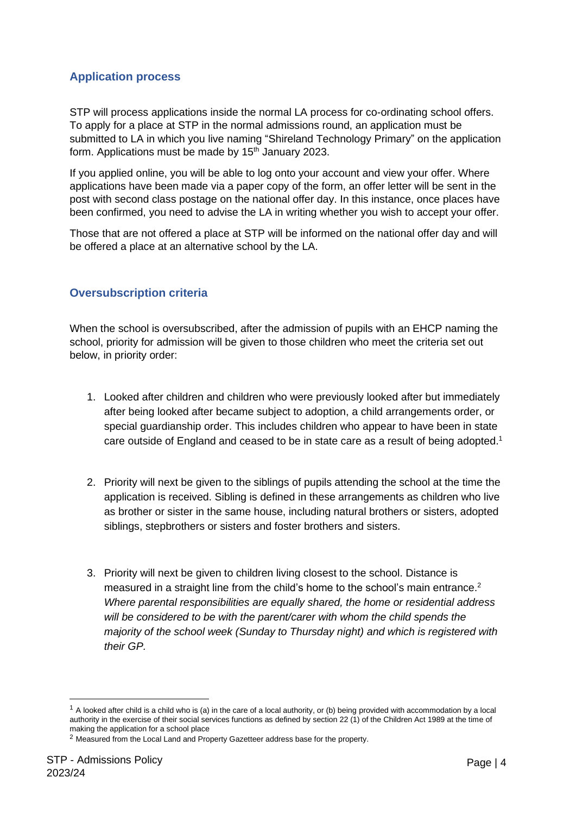# <span id="page-3-0"></span>**Application process**

STP will process applications inside the normal LA process for co-ordinating school offers. To apply for a place at STP in the normal admissions round, an application must be submitted to LA in which you live naming "Shireland Technology Primary" on the application form. Applications must be made by  $15<sup>th</sup>$  January 2023.

If you applied online, you will be able to log onto your account and view your offer. Where applications have been made via a paper copy of the form, an offer letter will be sent in the post with second class postage on the national offer day. In this instance, once places have been confirmed, you need to advise the LA in writing whether you wish to accept your offer.

Those that are not offered a place at STP will be informed on the national offer day and will be offered a place at an alternative school by the LA.

# <span id="page-3-1"></span>**Oversubscription criteria**

When the school is oversubscribed, after the admission of pupils with an EHCP naming the school, priority for admission will be given to those children who meet the criteria set out below, in priority order:

- 1. Looked after children and children who were previously looked after but immediately after being looked after became subject to adoption, a child arrangements order, or special guardianship order. This includes children who appear to have been in state care outside of England and ceased to be in state care as a result of being adopted.<sup>1</sup>
- 2. Priority will next be given to the siblings of pupils attending the school at the time the application is received. Sibling is defined in these arrangements as children who live as brother or sister in the same house, including natural brothers or sisters, adopted siblings, stepbrothers or sisters and foster brothers and sisters.
- 3. Priority will next be given to children living closest to the school. Distance is measured in a straight line from the child's home to the school's main entrance.<sup>2</sup> *Where parental responsibilities are equally shared, the home or residential address*  will be considered to be with the parent/carer with whom the child spends the *majority of the school week (Sunday to Thursday night) and which is registered with their GP.*

 $1$  A looked after child is a child who is (a) in the care of a local authority, or (b) being provided with accommodation by a local authority in the exercise of their social services functions as defined by section 22 (1) of the Children Act 1989 at the time of making the application for a school place

<sup>2</sup> Measured from the Local Land and Property Gazetteer address base for the property.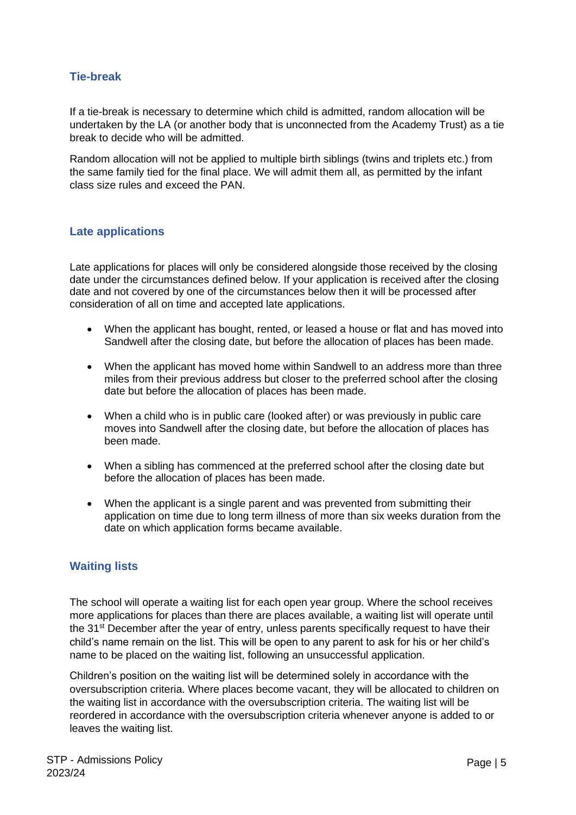# <span id="page-4-0"></span>**Tie-break**

If a tie-break is necessary to determine which child is admitted, random allocation will be undertaken by the LA (or another body that is unconnected from the Academy Trust) as a tie break to decide who will be admitted.

Random allocation will not be applied to multiple birth siblings (twins and triplets etc.) from the same family tied for the final place. We will admit them all, as permitted by the infant class size rules and exceed the PAN.

#### <span id="page-4-1"></span>**Late applications**

Late applications for places will only be considered alongside those received by the closing date under the circumstances defined below. If your application is received after the closing date and not covered by one of the circumstances below then it will be processed after consideration of all on time and accepted late applications.

- When the applicant has bought, rented, or leased a house or flat and has moved into Sandwell after the closing date, but before the allocation of places has been made.
- When the applicant has moved home within Sandwell to an address more than three miles from their previous address but closer to the preferred school after the closing date but before the allocation of places has been made.
- When a child who is in public care (looked after) or was previously in public care moves into Sandwell after the closing date, but before the allocation of places has been made.
- When a sibling has commenced at the preferred school after the closing date but before the allocation of places has been made.
- When the applicant is a single parent and was prevented from submitting their application on time due to long term illness of more than six weeks duration from the date on which application forms became available.

#### <span id="page-4-2"></span>**Waiting lists**

The school will operate a waiting list for each open year group. Where the school receives more applications for places than there are places available, a waiting list will operate until the 31<sup>st</sup> December after the year of entry, unless parents specifically request to have their child's name remain on the list. This will be open to any parent to ask for his or her child's name to be placed on the waiting list, following an unsuccessful application.

Children's position on the waiting list will be determined solely in accordance with the oversubscription criteria. Where places become vacant, they will be allocated to children on the waiting list in accordance with the oversubscription criteria. The waiting list will be reordered in accordance with the oversubscription criteria whenever anyone is added to or leaves the waiting list.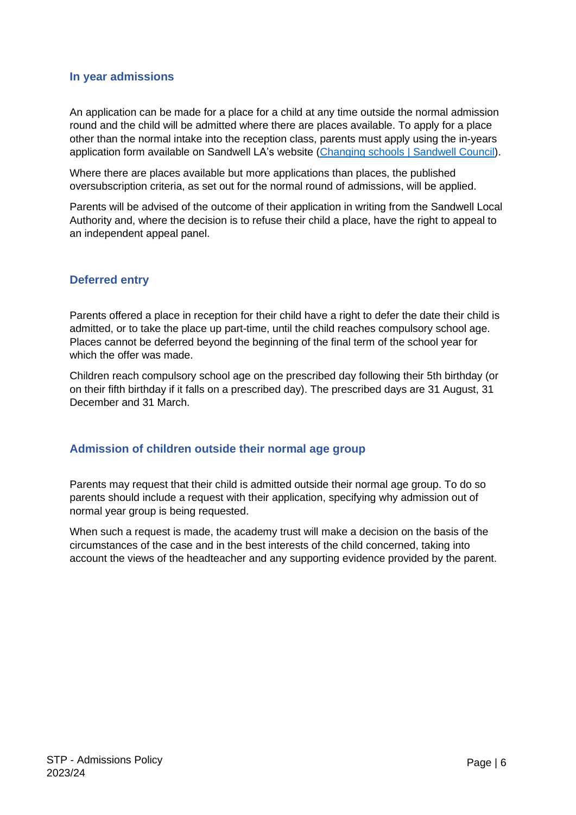#### <span id="page-5-0"></span>**In year admissions**

An application can be made for a place for a child at any time outside the normal admission round and the child will be admitted where there are places available. To apply for a place other than the normal intake into the reception class, parents must apply using the in-years application form available on Sandwell LA's website [\(Changing schools | Sandwell Council\)](https://www.sandwell.gov.uk/info/200303/school_admissions/2053/changing_schools).

Where there are places available but more applications than places, the published oversubscription criteria, as set out for the normal round of admissions, will be applied.

Parents will be advised of the outcome of their application in writing from the Sandwell Local Authority and, where the decision is to refuse their child a place, have the right to appeal to an independent appeal panel.

#### <span id="page-5-1"></span>**Deferred entry**

Parents offered a place in reception for their child have a right to defer the date their child is admitted, or to take the place up part-time, until the child reaches compulsory school age. Places cannot be deferred beyond the beginning of the final term of the school year for which the offer was made.

Children reach compulsory school age on the prescribed day following their 5th birthday (or on their fifth birthday if it falls on a prescribed day). The prescribed days are 31 August, 31 December and 31 March.

#### <span id="page-5-2"></span>**Admission of children outside their normal age group**

Parents may request that their child is admitted outside their normal age group. To do so parents should include a request with their application, specifying why admission out of normal year group is being requested.

When such a request is made, the academy trust will make a decision on the basis of the circumstances of the case and in the best interests of the child concerned, taking into account the views of the headteacher and any supporting evidence provided by the parent.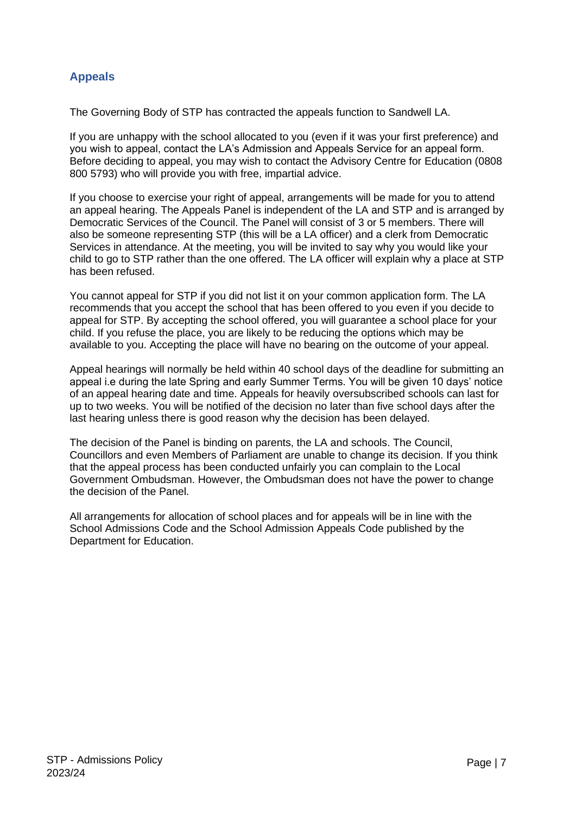# <span id="page-6-0"></span>**Appeals**

The Governing Body of STP has contracted the appeals function to Sandwell LA.

If you are unhappy with the school allocated to you (even if it was your first preference) and you wish to appeal, contact the LA's Admission and Appeals Service for an appeal form. Before deciding to appeal, you may wish to contact the Advisory Centre for Education (0808 800 5793) who will provide you with free, impartial advice.

If you choose to exercise your right of appeal, arrangements will be made for you to attend an appeal hearing. The Appeals Panel is independent of the LA and STP and is arranged by Democratic Services of the Council. The Panel will consist of 3 or 5 members. There will also be someone representing STP (this will be a LA officer) and a clerk from Democratic Services in attendance. At the meeting, you will be invited to say why you would like your child to go to STP rather than the one offered. The LA officer will explain why a place at STP has been refused.

You cannot appeal for STP if you did not list it on your common application form. The LA recommends that you accept the school that has been offered to you even if you decide to appeal for STP. By accepting the school offered, you will guarantee a school place for your child. If you refuse the place, you are likely to be reducing the options which may be available to you. Accepting the place will have no bearing on the outcome of your appeal.

Appeal hearings will normally be held within 40 school days of the deadline for submitting an appeal i.e during the late Spring and early Summer Terms. You will be given 10 days' notice of an appeal hearing date and time. Appeals for heavily oversubscribed schools can last for up to two weeks. You will be notified of the decision no later than five school days after the last hearing unless there is good reason why the decision has been delayed.

The decision of the Panel is binding on parents, the LA and schools. The Council, Councillors and even Members of Parliament are unable to change its decision. If you think that the appeal process has been conducted unfairly you can complain to the Local Government Ombudsman. However, the Ombudsman does not have the power to change the decision of the Panel.

All arrangements for allocation of school places and for appeals will be in line with the School Admissions Code and the School Admission Appeals Code published by the Department for Education.